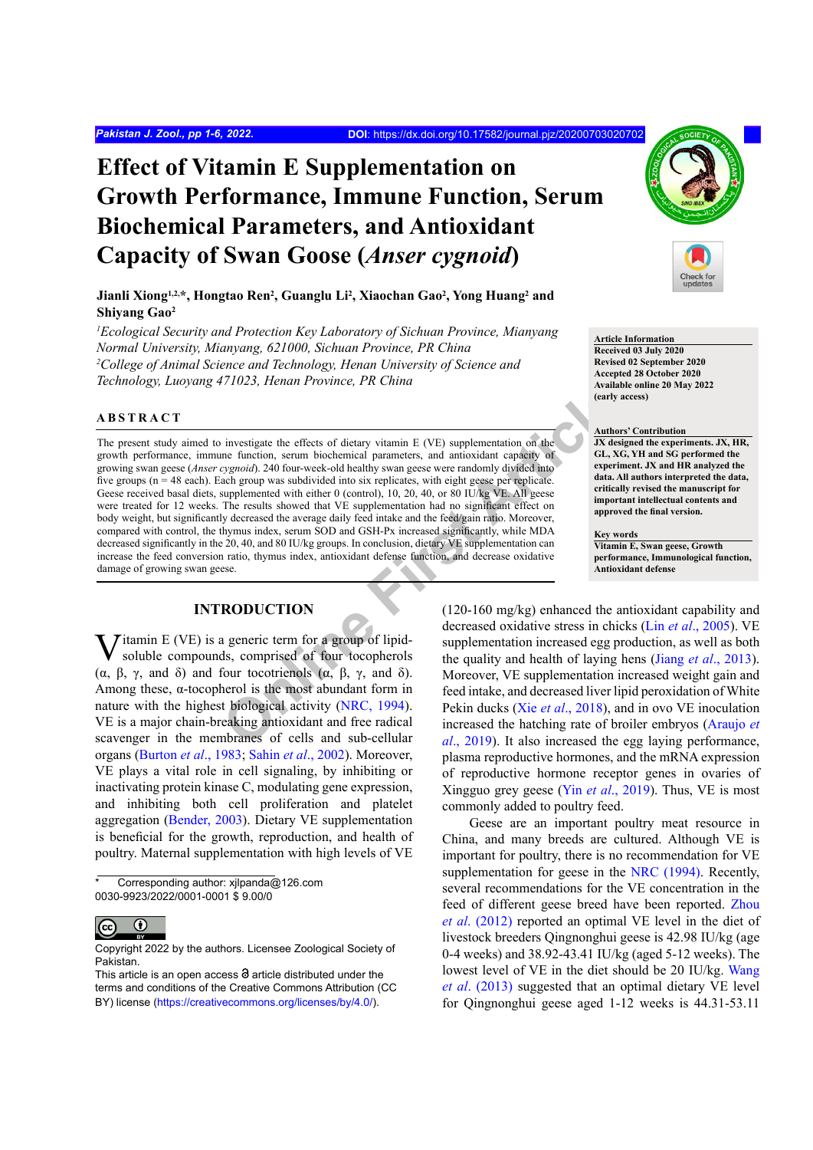# **Effect of Vitamin E Supplementation on Growth Performance, Immune Function, Serum Biochemical Parameters, and Antioxidant Capacity of Swan Goose (***Anser cygnoid***)**

Jianli Xiong<sup>1,2,\*</sup>, Hongtao Ren<sup>2</sup>, Guanglu Li<sup>2</sup>, Xiaochan Gao<sup>2</sup>, Yong Huang<sup>2</sup> and **Shiyang Gao2**

*1 Ecological Security and Protection Key Laboratory of Sichuan Province, Mianyang Normal University, Mianyang, 621000, Sichuan Province, PR China 2 College of Animal Science and Technology, Henan University of Science and Technology, Luoyang 471023, Henan Province, PR China*

## **ABSTRACT**

Final properties are the most are the most are the summation of the most are the summation of the most are the most are the most are the summation and the summation and the summation of the summation and the summation of The present study aimed to investigate the effects of dietary vitamin E (VE) supplementation on the growth performance, immune function, serum biochemical parameters, and antioxidant capacity of growing swan geese (*Anser cygnoid*). 240 four-week-old healthy swan geese were randomly divided into five groups (n = 48 each). Each group was subdivided into six replicates, with eight geese per replicate. Geese received basal diets, supplemented with either 0 (control), 10, 20, 40, or 80 IU/kg VE. All geese were treated for 12 weeks. The results showed that VE supplementation had no significant effect on body weight, but significantly decreased the average daily feed intake and the feed/gain ratio. Moreover, compared with control, the thymus index, serum SOD and GSH-Px increased significantly, while MDA decreased significantly in the 20, 40, and 80 IU/kg groups. In conclusion, dietary VE supplementation can increase the feed conversion ratio, thymus index, antioxidant defense function, and decrease oxidative damage of growing swan geese.

# **INTRODUCTION**

Vitamin E (VE) is a generic term for a group of lipid-soluble compounds, comprised of four tocopherols (α, β, γ, and δ) and four tocotrienols (α, β, γ, and δ). Among these,  $\alpha$ -tocopherol is the most abundant form in nature with the highest biological activity (NRC, 1994). VE is a major chain-breaking antioxidant and free radical scavenger in the membranes of cells and sub-cellular organs ([Burton](#page-4-1) *et al*., 1983; Sahin *et al*., 2002). Moreover, VE plays a vital role in cell signaling, by inhibiting or inactivating protein kinase C, modulating gene expression, and inhibiting both cell proliferation and platelet aggregation ([Bender, 2003](#page-4-2)). Dietary VE supplementation is beneficial for the growth, reproduction, and health of poultry. Maternal supplementation with high levels of VE

Corresponding author: xjlpanda@126.com 0030-9923/2022/0001-0001 \$ 9.00/0

 $\odot$ (c





**Article Information Received 03 July 2020 Revised 02 September 2020 Accepted 28 October 2020 Available online 20 May 2022 (early access)**

#### **Authors' Contribution**

**JX designed the experiments. JX, HR, GL, XG, YH and SG performed the experiment. JX and HR analyzed the data. All authors interpreted the data, critically revised the manuscript for important intellectual contents and approved the final version.**

#### **Key words**

**Vitamin E, Swan geese, Growth performance, Immunological function, Antioxidant defense**

(120-160 mg/kg) enhanced the antioxidant capability and decreased oxidative stress in chicks (Lin *et al*[., 2005\)](#page-4-3). VE supplementation increased egg production, as well as both the quality and health of laying hens (Jiang *et al*[., 2013](#page-4-4)). Moreover, VE supplementation increased weight gain and feed intake, and decreased liver lipid peroxidation of White Pekin ducks (Xie *et al*., 2018), and in ovo VE inoculation increased the hatching rate of broiler embryos ([Araujo](#page-4-5) *et al*., 2019). It also increased the egg laying performance, plasma reproductive hormones, and the mRNA expression of reproductive hormone receptor genes in ovaries of Xingguo grey geese (Yin *et al*[., 2019](#page-5-1)). Thus, VE is most commonly added to poultry feed.

Geese are an important poultry meat resource in China, and many breeds are cultured. Although VE is important for poultry, there is no recommendation for VE supplementation for geese in the [NRC \(1994\).](#page-4-0) Recently, several recommendations for the VE concentration in the feed of different geese breed have been reported. [Zhou](#page-5-2) *et al*[. \(2012\)](#page-5-2) reported an optimal VE level in the diet of livestock breeders Qingnonghui geese is 42.98 IU/kg (age 0-4 weeks) and 38.92-43.41 IU/kg (aged 5-12 weeks). The lowest level of VE in the diet should be 20 IU/kg. [Wang](#page-5-3) *et al*[. \(2013\)](#page-5-3) suggested that an optimal dietary VE level for Qingnonghui geese aged 1-12 weeks is 44.31-53.11

Copyright 2022 by the authors. Licensee Zoological Society of Pakistan.

This article is an open access  $\Theta$  article distributed under the terms and conditions of the Creative Commons Attribution (CC BY) license (https://creativecommons.org/licenses/by/4.0/).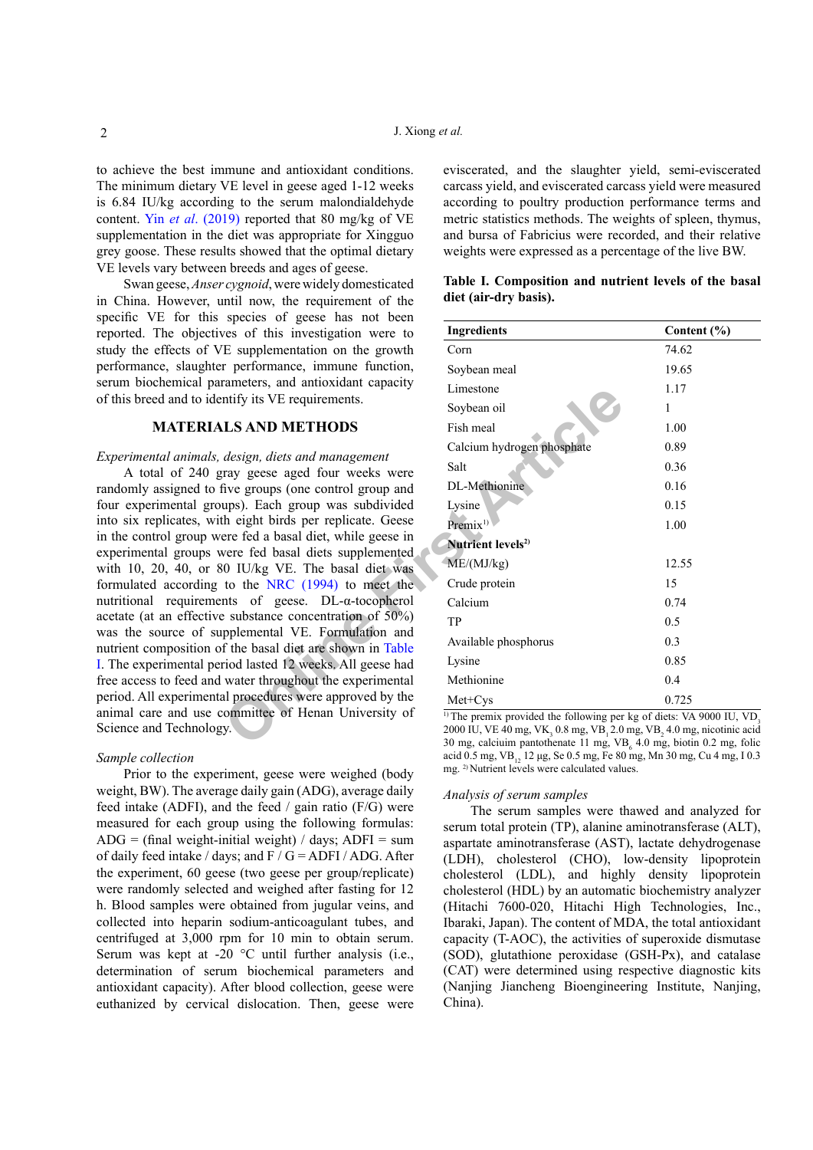to achieve the best immune and antioxidant conditions. The minimum dietary VE level in geese aged 1-12 weeks is 6.84 IU/kg according to the serum malondialdehyde content. Yin *et al*[. \(2019\)](#page-5-1) reported that 80 mg/kg of VE supplementation in the diet was appropriate for Xingguo grey goose. These results showed that the optimal dietary VE levels vary between breeds and ages of geese.

Swan geese, *Anser cygnoid*, were widely domesticated in China. However, until now, the requirement of the specific VE for this species of geese has not been reported. The objectives of this investigation were to study the effects of VE supplementation on the growth performance, slaughter performance, immune function, serum biochemical parameters, and antioxidant capacity of this breed and to identify its VE requirements.

# **MATERIALS AND METHODS**

## *Experimental animals, design, diets and management*

A total of 240 gray geese aged four weeks were randomly assigned to five groups (one control group and four experimental groups). Each group was subdivided into six replicates, with eight birds per replicate. Geese in the control group were fed a basal diet, while geese in experimental groups were fed basal diets supplemented with 10, 20, 40, or 80 IU/kg VE. The basal diet was formulated according to the NRC (1994) to meet the nutritional requirements of geese. DL-α-tocopherol acetate (at an effective substance concentration of 50%) was the source of supplemental VE. Formulation and nutrient composition of the basal diet are shown in Table [I](#page-1-0). The experimental period lasted 12 weeks. All geese had free access to feed and water throughout the experimental period. All experimental procedures were approved by the animal care and use committee of Henan University of Science and Technology.

### *Sample collection*

Prior to the experiment, geese were weighed (body weight, BW). The average daily gain (ADG), average daily feed intake (ADFI), and the feed / gain ratio (F/G) were measured for each group using the following formulas:  $ADG = (final weight-inital weight) / days$ ;  $ADFI = sum$ of daily feed intake / days; and  $F / G = ADFI / ADG$ . After the experiment, 60 geese (two geese per group/replicate) were randomly selected and weighed after fasting for 12 h. Blood samples were obtained from jugular veins, and collected into heparin sodium-anticoagulant tubes, and centrifuged at 3,000 rpm for 10 min to obtain serum. Serum was kept at -20 °C until further analysis (i.e., determination of serum biochemical parameters and antioxidant capacity). After blood collection, geese were euthanized by cervical dislocation. Then, geese were eviscerated, and the slaughter yield, semi-eviscerated carcass yield, and eviscerated carcass yield were measured according to poultry production performance terms and metric statistics methods. The weights of spleen, thymus, and bursa of Fabricius were recorded, and their relative weights were expressed as a percentage of the live BW.

<span id="page-1-0"></span>

|  | Table I. Composition and nutrient levels of the basal |  |  |  |
|--|-------------------------------------------------------|--|--|--|
|  | diet (air-dry basis).                                 |  |  |  |

| species of geese has not been<br>ves of this investigation were to    | <b>Ingredients</b>                                                                                                                            | Content $(\% )$ |  |  |
|-----------------------------------------------------------------------|-----------------------------------------------------------------------------------------------------------------------------------------------|-----------------|--|--|
| E supplementation on the growth                                       | Corn                                                                                                                                          | 74.62           |  |  |
| r performance, immune function,                                       | Soybean meal                                                                                                                                  | 19.65           |  |  |
| rameters, and antioxidant capacity                                    | Limestone                                                                                                                                     | 1.17            |  |  |
| ntify its VE requirements.                                            | Soybean oil                                                                                                                                   | 1               |  |  |
| <b>LS AND METHODS</b>                                                 | Fish meal                                                                                                                                     | 1.00            |  |  |
|                                                                       | Calcium hydrogen phosphate                                                                                                                    | 0.89            |  |  |
| design, diets and management<br>ray geese aged four weeks were        | Salt                                                                                                                                          | 0.36            |  |  |
| five groups (one control group and                                    | DL-Methionine                                                                                                                                 | 0.16            |  |  |
| ups). Each group was subdivided                                       | Lysine                                                                                                                                        | 0.15            |  |  |
| h eight birds per replicate. Geese                                    | Premix <sup>1)</sup>                                                                                                                          | 1.00            |  |  |
| ere fed a basal diet, while geese in                                  | Nutrient levels <sup>2)</sup>                                                                                                                 |                 |  |  |
| vere fed basal diets supplemented<br>0 IU/kg VE. The basal diet was   | ME/(MJ/kg)                                                                                                                                    | 12.55           |  |  |
| to the NRC (1994) to meet the                                         | Crude protein                                                                                                                                 | 15              |  |  |
| nts of geese. $DL-a$ -tocopherol                                      | Calcium                                                                                                                                       | 0.74            |  |  |
| e substance concentration of 50%)                                     | TP                                                                                                                                            | 0.5             |  |  |
| pplemental VE. Formulation and<br>f the basal diet are shown in Table | Available phosphorus                                                                                                                          | 0.3             |  |  |
| riod lasted 12 weeks. All geese had                                   | Lysine                                                                                                                                        | 0.85            |  |  |
| water throughout the experimental                                     | Methionine                                                                                                                                    | 0.4             |  |  |
| al procedures were approved by the                                    | Met+Cys                                                                                                                                       | 0.725           |  |  |
| committee of Henan University of<br>у.                                | <sup>1)</sup> The premix provided the following per kg of diets: VA 9000 IU, VD <sub>3</sub>                                                  |                 |  |  |
|                                                                       | 2000 IU, VE 40 mg, VK, 0.8 mg, VB, 2.0 mg, VB, 4.0 mg, nicotinic acid<br>30 mg, calciuim pantothenate 11 mg, VB, 4.0 mg, biotin 0.2 mg, folic |                 |  |  |

<sup>1)</sup> The premix provided the following per kg of diets: VA 9000 IU, VD<sub>3</sub> 2000 IU, VE 40 mg, VK<sub>3</sub> 0.8 mg, VB<sub>1</sub> 2.0 mg, VB<sub>2</sub> 4.0 mg, nicotinic acid 30 mg, calciuim pantothenate 11 mg,  $VB_6$  4.0 mg, biotin 0.2 mg, folic acid 0.5 mg, VB<sub>12</sub> 12 μg, Se 0.5 mg, Fe 80 mg, Mn 30 mg, Cu 4 mg, I 0.3 mg. 2) Nutrient levels were calculated values.

#### *Analysis of serum samples*

The serum samples were thawed and analyzed for serum total protein (TP), alanine aminotransferase (ALT), aspartate aminotransferase (AST), lactate dehydrogenase (LDH), cholesterol (CHO), low-density lipoprotein cholesterol (LDL), and highly density lipoprotein cholesterol (HDL) by an automatic biochemistry analyzer (Hitachi 7600-020, Hitachi High Technologies, Inc., Ibaraki, Japan). The content of MDA, the total antioxidant capacity (T-AOC), the activities of superoxide dismutase (SOD), glutathione peroxidase (GSH-Px), and catalase (CAT) were determined using respective diagnostic kits (Nanjing Jiancheng Bioengineering Institute, Nanjing, China).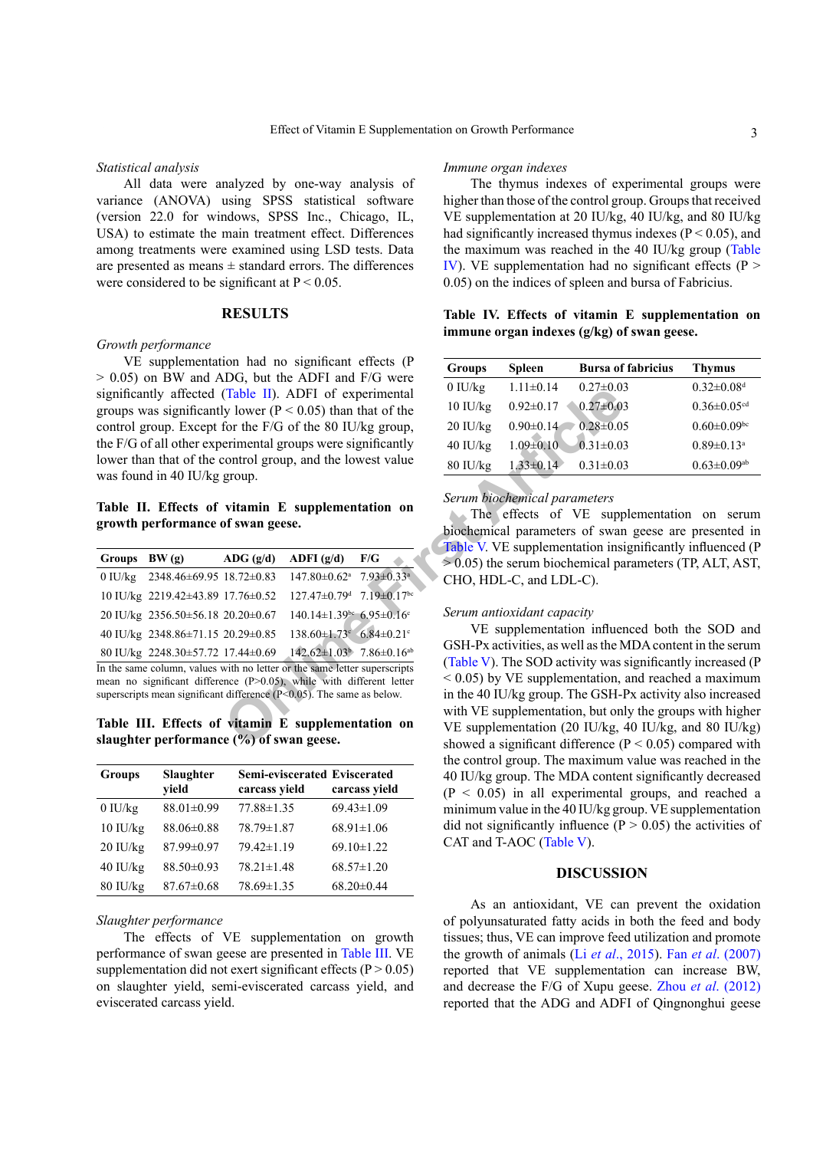#### *Statistical analysis*

All data were analyzed by one-way analysis of variance (ANOVA) using SPSS statistical software (version 22.0 for windows, SPSS Inc., Chicago, IL, USA) to estimate the main treatment effect. Differences among treatments were examined using LSD tests. Data are presented as means ± standard errors. The differences were considered to be significant at  $P < 0.05$ .

## **RESULTS**

#### *Growth performance*

VE supplementation had no significant effects (P > 0.05) on BW and ADG, but the ADFI and F/G were significantly affected (Table II). ADFI of experimental groups was significantly lower ( $P < 0.05$ ) than that of the control group. Except for the F/G of the 80 IU/kg group, the F/G of all other experimental groups were significantly lower than that of the control group, and the lowest value was found in 40 IU/kg group.

# <span id="page-2-0"></span>**Table II. Effects of vitamin E supplementation on growth performance of swan geese.**

|                                                                                                                                                                                                                               | significantly affected (Table II). ADFI of experimental<br>groups was significantly lower ( $P < 0.05$ ) than that of the<br>control group. Except for the F/G of the 80 IU/kg group,<br>the F/G of all other experimental groups were significantly<br>lower than that of the control group, and the lowest value<br>was found in 40 IU/kg group. | U IU/Kg<br>10 IU/kg<br>20 IU/kg<br>40 IU/kg<br>$80$ IU/kg | $1.11 \pm 0.14$<br>$0.92 \pm 0.17$<br>$0.90 \pm 0.14$<br>$1.09 \pm 0.10$<br>$1.33 \pm 0.14$                                  | $0.27 \pm 0.01$<br>$0.27 \pm 0.01$<br>$0.28 \pm 0.0$<br>$0.31 \pm 0.01$<br>$0.31 \pm 0.01$ |                                                                                                                                             |                                     |  |
|-------------------------------------------------------------------------------------------------------------------------------------------------------------------------------------------------------------------------------|----------------------------------------------------------------------------------------------------------------------------------------------------------------------------------------------------------------------------------------------------------------------------------------------------------------------------------------------------|-----------------------------------------------------------|------------------------------------------------------------------------------------------------------------------------------|--------------------------------------------------------------------------------------------|---------------------------------------------------------------------------------------------------------------------------------------------|-------------------------------------|--|
|                                                                                                                                                                                                                               | Table II. Effects of vitamin E supplementation on<br>growth performance of swan geese.                                                                                                                                                                                                                                                             |                                                           | Serum biochemical parameters<br>The effects of VE supp<br>biochemical parameters of swar<br>Table V. VE supplementation insi |                                                                                            |                                                                                                                                             |                                     |  |
| Groups BW (g)                                                                                                                                                                                                                 |                                                                                                                                                                                                                                                                                                                                                    | $\bf{A}\bf{D}\bf{G}$ (g/d)                                | ADFI $(g/d)$                                                                                                                 | F/G                                                                                        |                                                                                                                                             | $> 0.05$ ) the serum biochemical pa |  |
|                                                                                                                                                                                                                               | 0 IU/kg 2348.46 $\pm$ 69.95 18.72 $\pm$ 0.83                                                                                                                                                                                                                                                                                                       |                                                           | $147.80 \pm 0.62$ <sup>a</sup> 7.93 $\pm 0.33$ <sup>a</sup>                                                                  |                                                                                            |                                                                                                                                             | CHO, HDL-C, and LDL-C).             |  |
|                                                                                                                                                                                                                               | 10 IU/kg 2219.42±43.89 17.76±0.52                                                                                                                                                                                                                                                                                                                  |                                                           | $127.47 \pm 0.79$ <sup>d</sup> $7.19 \pm 0.17$ <sup>bc</sup>                                                                 |                                                                                            |                                                                                                                                             | Serum antioxidant capacity          |  |
|                                                                                                                                                                                                                               | 20 IU/kg 2356.50 ± 56.18 20.20 ± 0.67                                                                                                                                                                                                                                                                                                              |                                                           | $140.14 \pm 1.39$ <sup>bc</sup> 6.95 $\pm$ 0.16 <sup>c</sup>                                                                 |                                                                                            |                                                                                                                                             | VE supplementation influer          |  |
|                                                                                                                                                                                                                               | 40 IU/kg 2348.86±71.15 20.29±0.85                                                                                                                                                                                                                                                                                                                  |                                                           | $138.60 \pm 1.73$ <sup>c</sup> $6.84 \pm 0.21$ <sup>c</sup>                                                                  |                                                                                            |                                                                                                                                             |                                     |  |
|                                                                                                                                                                                                                               | 80 IU/kg 2248.30±57.72 17.44±0.69                                                                                                                                                                                                                                                                                                                  |                                                           | $142.62 \pm 1.03^{\circ}$ 7.86 $\pm$ 0.16 <sup>ab</sup>                                                                      |                                                                                            |                                                                                                                                             | GSH-Px activities, as well as the N |  |
| In the same column, values with no letter or the same letter superscripts<br>mean no significant difference (P>0.05), while with different letter<br>superscripts mean significant difference $(P<0.05)$ . The same as below. |                                                                                                                                                                                                                                                                                                                                                    |                                                           |                                                                                                                              |                                                                                            | (Table V). The SOD activity was<br>$< 0.05$ ) by VE supplementation,<br>in the 40 IU/kg group. The GSH-1<br>with VE supplementation, but on |                                     |  |
|                                                                                                                                                                                                                               | Table III. Effects of vitamin E supplementation on                                                                                                                                                                                                                                                                                                 |                                                           | VE supplementation (20 IU/kg, $\cdot$                                                                                        |                                                                                            |                                                                                                                                             |                                     |  |
| slaughter performance $(\frac{b}{\theta})$ of swan geese.                                                                                                                                                                     |                                                                                                                                                                                                                                                                                                                                                    |                                                           |                                                                                                                              |                                                                                            |                                                                                                                                             | showed a significant difference (   |  |

<span id="page-2-1"></span>**Table III. Effects of vitamin E supplementation on slaughter performance (%) of swan geese.**

| <b>Groups</b> | Slaughter<br>yield | Semi-eviscerated Eviscerated<br>carcass yield | carcass yield    |
|---------------|--------------------|-----------------------------------------------|------------------|
| $0$ IU/ $kg$  | 88.01±0.99         | $77.88 \pm 1.35$                              | $69.43 \pm 1.09$ |
| $10$ IU/ $kg$ | 88.06±0.88         | 78.79±1.87                                    | $68.91 \pm 1.06$ |
| $20$ IU/kg    | 87.99±0.97         | $79.42 \pm 1.19$                              | $69.10 \pm 1.22$ |
| $40$ IU/ $kg$ | 88.50±0.93         | $78.21 \pm 1.48$                              | $68.57 \pm 1.20$ |
| $80$ IU/ $kg$ | $87.67 \pm 0.68$   | 78.69±1.35                                    | $68.20 \pm 0.44$ |

### *Slaughter performance*

The effects of VE supplementation on growth performance of swan geese are presented in [Table III](#page-2-1). VE supplementation did not exert significant effects ( $P > 0.05$ ) on slaughter yield, semi-eviscerated carcass yield, and eviscerated carcass yield.

## *Immune organ indexes*

The thymus indexes of experimental groups were higher than those of the control group. Groups that received VE supplementation at 20 IU/kg, 40 IU/kg, and 80 IU/kg had significantly increased thymus indexes  $(P < 0.05)$ , and the maximum was reached in the 40 IU/kg group ([Table](#page-2-2) [IV](#page-2-2)). VE supplementation had no significant effects ( $P >$ 0.05) on the indices of spleen and bursa of Fabricius.

<span id="page-2-2"></span>**Table IV. Effects of vitamin E supplementation on immune organ indexes (g/kg) of swan geese.**

| <b>Groups</b>      | <b>Spleen</b>   | <b>Bursa of fabricius</b> | <b>Thymus</b>                 |
|--------------------|-----------------|---------------------------|-------------------------------|
| $0$ IU/kg          | $1.11 \pm 0.14$ | $0.27 \pm 0.03$           | $0.32 \pm 0.08$ <sup>d</sup>  |
| $10 \text{ IU/kg}$ | $0.92 \pm 0.17$ | $0.27 \pm 0.03$           | $0.36 \pm 0.05$ <sup>cd</sup> |
| $20 \text{ IU/kg}$ | $0.90 \pm 0.14$ | $0.28 \pm 0.05$           | $0.60 \pm 0.09$ bc            |
| $40$ IU/kg         | $1.09 \pm 0.10$ | $0.31 \pm 0.03$           | $0.89 \pm 0.13$ <sup>a</sup>  |
| $80$ IU/kg         | $1.33 \pm 0.14$ | $0.31 \pm 0.03$           | $0.63 \pm 0.09$ <sup>ab</sup> |

# *Serum biochemical parameters*

The effects of VE supplementation on serum biochemical parameters of swan geese are presented in Table V. VE supplementation insignificantly influenced (P  $> 0.05$ ) the serum biochemical parameters (TP, ALT, AST, CHO, HDL-C, and LDL-C).

## *Serum antioxidant capacity*

VE supplementation influenced both the SOD and GSH-Px activities, as well as the MDA content in the serum (Table V). The SOD activity was significantly increased (P < 0.05) by VE supplementation, and reached a maximum in the 40 IU/kg group. The GSH-Px activity also increased with VE supplementation, but only the groups with higher VE supplementation (20 IU/kg, 40 IU/kg, and 80 IU/kg) showed a significant difference ( $P < 0.05$ ) compared with the control group. The maximum value was reached in the 40 IU/kg group. The MDA content significantly decreased  $(P < 0.05)$  in all experimental groups, and reached a minimum value in the 40 IU/kg group. VE supplementation did not significantly influence ( $P > 0.05$ ) the activities of CAT and T-AOC ([Table V\)](#page-3-0).

## **DISCUSSION**

As an antioxidant, VE can prevent the oxidation of polyunsaturated fatty acids in both the feed and body tissues; thus, VE can improve feed utilization and promote the growth of animals (Li *et al*[., 2015](#page-4-6)). Fan *et al*[. \(2007\)](#page-4-7) reported that VE supplementation can increase BW, and decrease the F/G of Xupu geese. Zhou *et al*[. \(2012\)](#page-5-2) reported that the ADG and ADFI of Qingnonghui geese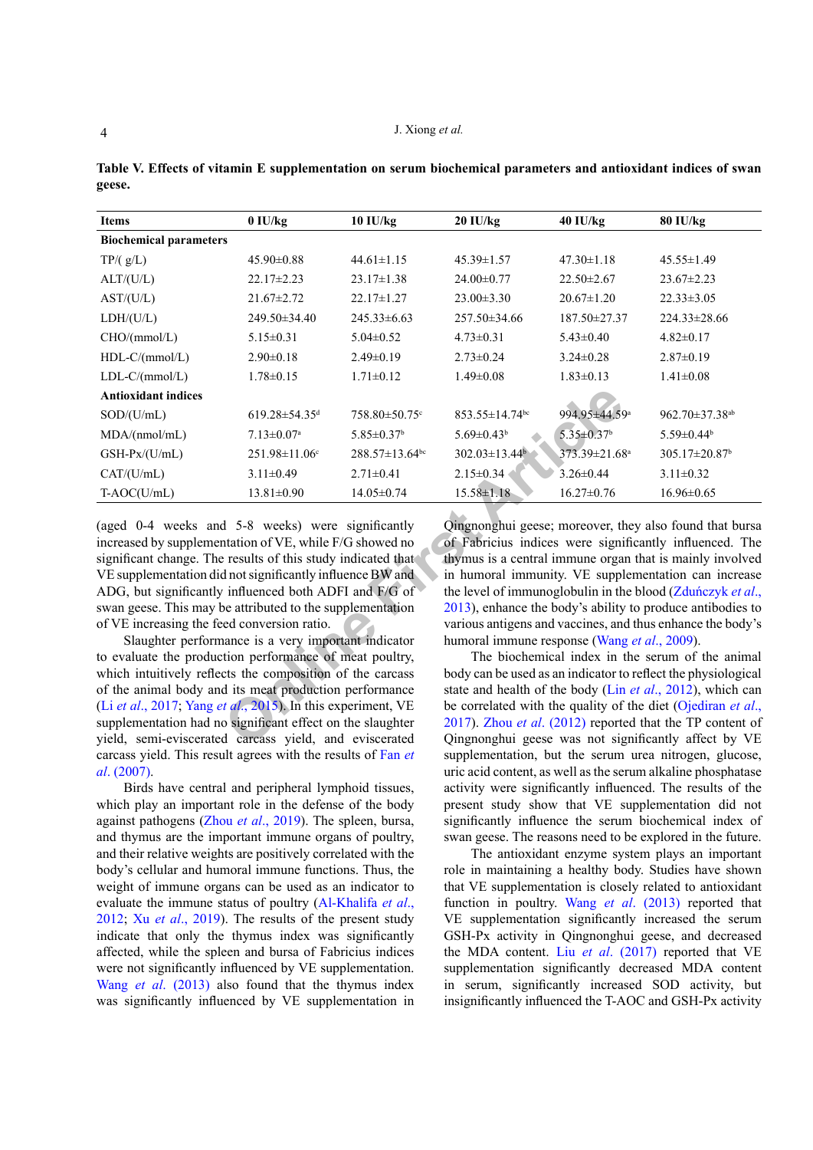| <b>Items</b>                                                                                                                                                                                                                                                                                                                                                   | $0$ IU/kg                       | 10 IU/kg                                                   | $20$ IU/kg                                                    | 40 IU/kg                     | 80 IU/kg                                                            |  |  |
|----------------------------------------------------------------------------------------------------------------------------------------------------------------------------------------------------------------------------------------------------------------------------------------------------------------------------------------------------------------|---------------------------------|------------------------------------------------------------|---------------------------------------------------------------|------------------------------|---------------------------------------------------------------------|--|--|
| <b>Biochemical parameters</b>                                                                                                                                                                                                                                                                                                                                  |                                 |                                                            |                                                               |                              |                                                                     |  |  |
| TP/(g/L)                                                                                                                                                                                                                                                                                                                                                       | $45.90 \pm 0.88$                | $44.61 \pm 1.15$                                           | 45.39±1.57                                                    | $47.30 \pm 1.18$             | $45.55 \pm 1.49$                                                    |  |  |
| ALT/(U/L)                                                                                                                                                                                                                                                                                                                                                      | $22.17 \pm 2.23$                | $23.17 \pm 1.38$                                           | 24.00 ± 0.77                                                  | $22.50 \pm 2.67$             | $23.67 \pm 2.23$                                                    |  |  |
| AST/(U/L)                                                                                                                                                                                                                                                                                                                                                      | 21.67±2.72                      | $22.17 \pm 1.27$                                           | $23.00 \pm 3.30$                                              | $20.67 \pm 1.20$             | $22.33 \pm 3.05$                                                    |  |  |
| LDH/(U/L)                                                                                                                                                                                                                                                                                                                                                      | 249.50±34.40                    | $245.33\pm 6.63$                                           | 257.50±34.66                                                  | 187.50±27.37                 | 224.33±28.66                                                        |  |  |
| CHO/(mmol/L)                                                                                                                                                                                                                                                                                                                                                   | $5.15 \pm 0.31$                 | $5.04 \pm 0.52$                                            | $4.73 \pm 0.31$                                               | $5.43 \pm 0.40$              | $4.82 \pm 0.17$                                                     |  |  |
| HDL-C/(mmol/L)                                                                                                                                                                                                                                                                                                                                                 | $2.90 \pm 0.18$                 | $2.49 \pm 0.19$                                            | $2.73 \pm 0.24$                                               | $3.24 \pm 0.28$              | $2.87 \pm 0.19$                                                     |  |  |
| $LDL-C/(mmol/L)$                                                                                                                                                                                                                                                                                                                                               | $1.78 \pm 0.15$                 | $1.71 \pm 0.12$                                            | $1.49 \pm 0.08$                                               | $1.83 \pm 0.13$              | $1.41 \pm 0.08$                                                     |  |  |
| <b>Antioxidant indices</b>                                                                                                                                                                                                                                                                                                                                     |                                 |                                                            |                                                               |                              |                                                                     |  |  |
| SOD/(U/mL)                                                                                                                                                                                                                                                                                                                                                     | $619.28 \pm 54.35$ <sup>d</sup> | 758.80±50.75°                                              | $853.55 \pm 14.74$ <sup>bc</sup>                              | 994.95±44.59 <sup>a</sup>    | 962.70 $\pm$ 37.38 <sup>ab</sup>                                    |  |  |
| MDA/(nmol/mL)                                                                                                                                                                                                                                                                                                                                                  | $7.13 \pm 0.07$ <sup>a</sup>    | 5.85 $\pm$ 0.37 <sup>b</sup>                               | $5.69 \pm 0.43$ <sup>b</sup>                                  | $5.35 \pm 0.37$ <sup>b</sup> | $5.59 \pm 0.44$ <sup>b</sup>                                        |  |  |
| GSH-Px/(U/mL)                                                                                                                                                                                                                                                                                                                                                  | $251.98 \pm 11.06$ <sup>c</sup> | $288.57 \pm 13.64$ <sup>bc</sup>                           | $302.03 \pm 13.44$ <sup>b</sup>                               | 373.39±21.68 <sup>a</sup>    | $305.17 \pm 20.87$ <sup>b</sup>                                     |  |  |
| CAT/(U/mL)                                                                                                                                                                                                                                                                                                                                                     | $3.11 \pm 0.49$                 | $2.71 \pm 0.41$                                            | $2.15 \pm 0.34$                                               | $3.26 \pm 0.44$              | $3.11 \pm 0.32$                                                     |  |  |
| $T- AOC(U/mL)$                                                                                                                                                                                                                                                                                                                                                 | $13.81 \pm 0.90$                | $14.05 \pm 0.74$                                           | $15.58 \pm 1.18$                                              | $16.27 \pm 0.76$             | 16.96±0.65                                                          |  |  |
| (aged 0-4 weeks and 5-8 weeks) were significantly<br>Qingnonghui geese; moreover, they also found that bursa<br>of Fabricius indices were significantly influenced. The<br>increased by supplementation of VE, while F/G showed no<br>significant change. The results of this study indicated that<br>thymus is a central immune organ that is mainly involved |                                 |                                                            |                                                               |                              |                                                                     |  |  |
| VE supplementation did not significantly influence BW and<br>in humoral immunity. VE supplementation can increase<br>ADG, but significantly influenced both ADFI and F/G of<br>the level of immunoglobulin in the blood (Zduńczyk et al.,                                                                                                                      |                                 |                                                            |                                                               |                              |                                                                     |  |  |
| swan geese. This may be attributed to the supplementation                                                                                                                                                                                                                                                                                                      |                                 | 2013), enhance the body's ability to produce antibodies to |                                                               |                              |                                                                     |  |  |
| of VE increasing the feed conversion ratio.                                                                                                                                                                                                                                                                                                                    |                                 |                                                            | various antigens and vaccines, and thus enhance the body's    |                              |                                                                     |  |  |
| Slaughter performance is a very important indicator                                                                                                                                                                                                                                                                                                            |                                 |                                                            | humoral immune response (Wang et al., 2009).                  |                              |                                                                     |  |  |
| to evaluate the production performance of meat poultry,                                                                                                                                                                                                                                                                                                        |                                 | The biochemical index in the serum of the animal           |                                                               |                              |                                                                     |  |  |
| which intuitively reflects the composition of the carcass                                                                                                                                                                                                                                                                                                      |                                 |                                                            | body can be used as an indicator to reflect the physiological |                              |                                                                     |  |  |
| of the animal body and its meat production performance                                                                                                                                                                                                                                                                                                         |                                 |                                                            | state and health of the body (Lin et al., 2012), which can    |                              |                                                                     |  |  |
| (Li et al., 2017; Yang et al., 2015). In this experiment, VE                                                                                                                                                                                                                                                                                                   |                                 |                                                            | be correlated with the quality of the diet (Ojediran et al.,  |                              |                                                                     |  |  |
| supplementation had no significant effect on the slaughter                                                                                                                                                                                                                                                                                                     |                                 |                                                            |                                                               |                              | $2017$ ). Zhou <i>et al.</i> (2012) reported that the TP content of |  |  |
| yield, semi-eviscerated carcass yield, and eviscerated<br>Qingnonghui geese was not significantly affect by VE                                                                                                                                                                                                                                                 |                                 |                                                            |                                                               |                              |                                                                     |  |  |

<span id="page-3-0"></span>**Table V. Effects of vitamin E supplementation on serum biochemical parameters and antioxidant indices of swan geese.**

Slaughter performance is a very important indicator to evaluate the production performance of meat poultry, which intuitively reflects the composition of the carcass of the animal body and its meat production performance (Li *et al*[., 2017;](#page-4-8) Yang *et al*., 2015). In this experiment, VE supplementation had no significant effect on the slaughter yield, semi-eviscerated carcass yield, and eviscerated carcass yield. This result agrees with the results of [Fan](#page-4-7) *et al*[. \(2007\)](#page-4-7).

Birds have central and peripheral lymphoid tissues, which play an important role in the defense of the body against pathogens (Zhou *et al*[., 2019](#page-5-5)). The spleen, bursa, and thymus are the important immune organs of poultry, and their relative weights are positively correlated with the body's cellular and humoral immune functions. Thus, the weight of immune organs can be used as an indicator to evaluate the immune status of poultry ([Al-Khalifa](#page-4-9) *et al*., [2012;](#page-4-9) Xu *et al*[., 2019](#page-5-6)). The results of the present study indicate that only the thymus index was significantly affected, while the spleen and bursa of Fabricius indices were not significantly influenced by VE supplementation. Wang *et al*[. \(2013\)](#page-5-3) also found that the thymus index was significantly influenced by VE supplementation in

The biochemical index in the serum of the animal body can be used as an indicator to reflect the physiological state and health of the body (Lin *et al*[., 2012\)](#page-4-10), which can be correlated with the quality of the diet ([Ojediran](#page-4-11) *et al*., 2017). Zhou *et al*. (2012) reported that the TP content of Qingnonghui geese was not significantly affect by VE supplementation, but the serum urea nitrogen, glucose, uric acid content, as well as the serum alkaline phosphatase activity were significantly influenced. The results of the present study show that VE supplementation did not significantly influence the serum biochemical index of swan geese. The reasons need to be explored in the future.

The antioxidant enzyme system plays an important role in maintaining a healthy body. Studies have shown that VE supplementation is closely related to antioxidant function in poultry. Wang *et al*[. \(2013\)](#page-5-3) reported that VE supplementation significantly increased the serum GSH-Px activity in Qingnonghui geese, and decreased the MDA content. Liu *et al*[. \(2017\)](#page-4-12) reported that VE supplementation significantly decreased MDA content in serum, significantly increased SOD activity, but insignificantly influenced the T-AOC and GSH-Px activity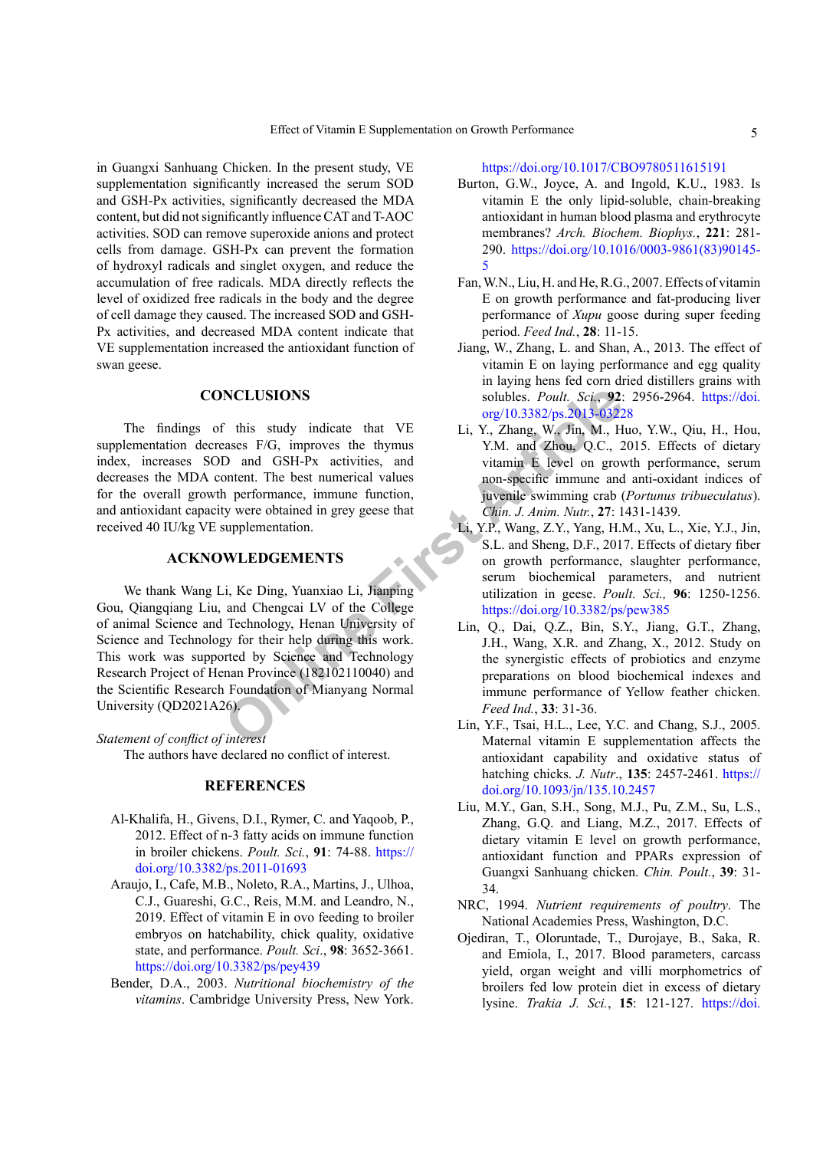in Guangxi Sanhuang Chicken. In the present study, VE supplementation significantly increased the serum SOD and GSH-Px activities, significantly decreased the MDA content, but did not significantly influence CAT and T-AOC activities. SOD can remove superoxide anions and protect cells from damage. GSH-Px can prevent the formation of hydroxyl radicals and singlet oxygen, and reduce the accumulation of free radicals. MDA directly reflects the level of oxidized free radicals in the body and the degree of cell damage they caused. The increased SOD and GSH-Px activities, and decreased MDA content indicate that VE supplementation increased the antioxidant function of swan geese.

# **CONCLUSIONS**

The findings of this study indicate that VE supplementation decreases F/G, improves the thymus index, increases SOD and GSH-Px activities, and decreases the MDA content. The best numerical values for the overall growth performance, immune function, and antioxidant capacity were obtained in grey geese that received 40 IU/kg VE supplementation.

## **ACKNOWLEDGEMENTS**

**NCLUSIONS**<br>
Solubles. Pout, Sci., 92:<br>
This study indicate that VE<br>
Li, Y., Zhang, W., Jin, M., H<br>
2013-0322/ps.2013-0322<br>
21., Y., Zhang, W., Jin, M., H<br>
D and GSH-Px activities, and<br>
Solution F. Ivel on growth reformanc We thank Wang Li, Ke Ding, Yuanxiao Li, Jianping Gou, Qiangqiang Liu, and Chengcai LV of the College of animal Science and Technology, Henan University of Science and Technology for their help during this work. This work was supported by Science and Technology Research Project of Henan Province (182102110040) and the Scientific Research Foundation of Mianyang Normal University (QD2021A26).

# *Statement of conflict of interest*

The authors have declared no conflict of interest.

# **REFERENCES**

- <span id="page-4-9"></span>Al-Khalifa, H., Givens, D.I., Rymer, C. and Yaqoob, P., 2012. Effect of n-3 fatty acids on immune function in broiler chickens. *Poult. Sci.*, **91**: 74-88. [https://](https://doi.org/10.3382/ps.2011-01693) [doi.org/10.3382/ps.2011-01693](https://doi.org/10.3382/ps.2011-01693)
- <span id="page-4-5"></span>Araujo, I., Cafe, M.B., Noleto, R.A., Martins, J., Ulhoa, C.J., Guareshi, G.C., Reis, M.M. and Leandro, N., 2019. Effect of vitamin E in ovo feeding to broiler embryos on hatchability, chick quality, oxidative state, and performance. *Poult. Sci*., **98**: 3652-3661. <https://doi.org/10.3382/ps/pey439>
- <span id="page-4-2"></span>Bender, D.A., 2003. *Nutritional biochemistry of the vitamins*. Cambridge University Press, New York.

<https://doi.org/10.1017/CBO9780511615191>

- <span id="page-4-1"></span>Burton, G.W., Joyce, A. and Ingold, K.U., 1983. Is vitamin E the only lipid-soluble, chain-breaking antioxidant in human blood plasma and erythrocyte membranes? *Arch. Biochem. Biophys.*, **221**: 281- 290. [https://doi.org/10.1016/0003-9861\(83\)90145-](https://doi.org/10.1016/0003-9861(83)90145-5) [5](https://doi.org/10.1016/0003-9861(83)90145-5)
- <span id="page-4-7"></span>Fan, W.N., Liu, H. and He, R.G., 2007. Effects of vitamin E on growth performance and fat-producing liver performance of *Xupu* goose during super feeding period. *Feed Ind.*, **28**: 11-15.
- <span id="page-4-4"></span>Jiang, W., Zhang, L. and Shan, A., 2013. The effect of vitamin E on laying performance and egg quality in laying hens fed corn dried distillers grains with solubles. *Poult. Sci.*, **92**: 2956-2964. [https://doi.](https://doi.org/10.3382/ps.2013-03228) org/10.3382/ps.2013-03228
- <span id="page-4-6"></span>Li, Y., Zhang, W., Jin, M., Huo, Y.W., Qiu, H., Hou, Y.M. and Zhou, Q.C., 2015. Effects of dietary vitamin E level on growth performance, serum non-specific immune and anti-oxidant indices of juvenile swimming crab (*Portunus tribueculatus*). *Chin. J. Anim. Nutr.*, **27**: 1431-1439.
- <span id="page-4-8"></span>Li, Y.P., Wang, Z.Y., Yang, H.M., Xu, L., Xie, Y.J., Jin, S.L. and Sheng, D.F., 2017. Effects of dietary fiber on growth performance, slaughter performance, serum biochemical parameters, and nutrient utilization in geese. *Poult. Sci.,* **96**: 1250-1256. <https://doi.org/10.3382/ps/pew385>
- <span id="page-4-10"></span>Lin, Q., Dai, Q.Z., Bin, S.Y., Jiang, G.T., Zhang, J.H., Wang, X.R. and Zhang, X., 2012. Study on the synergistic effects of probiotics and enzyme preparations on blood biochemical indexes and immune performance of Yellow feather chicken. *Feed Ind.*, **33**: 31-36.
- <span id="page-4-3"></span>Lin, Y.F., Tsai, H.L., Lee, Y.C. and Chang, S.J., 2005. Maternal vitamin E supplementation affects the antioxidant capability and oxidative status of hatching chicks. *J. Nutr*., **135**: 2457-2461. [https://](https://doi.org/10.1093/jn/135.10.2457) [doi.org/10.1093/jn/135.10.2457](https://doi.org/10.1093/jn/135.10.2457)
- <span id="page-4-12"></span>Liu, M.Y., Gan, S.H., Song, M.J., Pu, Z.M., Su, L.S., Zhang, G.Q. and Liang, M.Z., 2017. Effects of dietary vitamin E level on growth performance, antioxidant function and PPARs expression of Guangxi Sanhuang chicken. *Chin. Poult.*, **39**: 31- 34.
- <span id="page-4-0"></span>NRC, 1994. *Nutrient requirements of poultry*. The National Academies Press, Washington, D.C.
- <span id="page-4-11"></span>Ojediran, T., Oloruntade, T., Durojaye, B., Saka, R. and Emiola, I., 2017. Blood parameters, carcass yield, organ weight and villi morphometrics of broilers fed low protein diet in excess of dietary lysine. *Trakia J. Sci.*, **15**: 121-127. [https://doi.](https://doi.org/10.15547/tjs.2017.02.004)